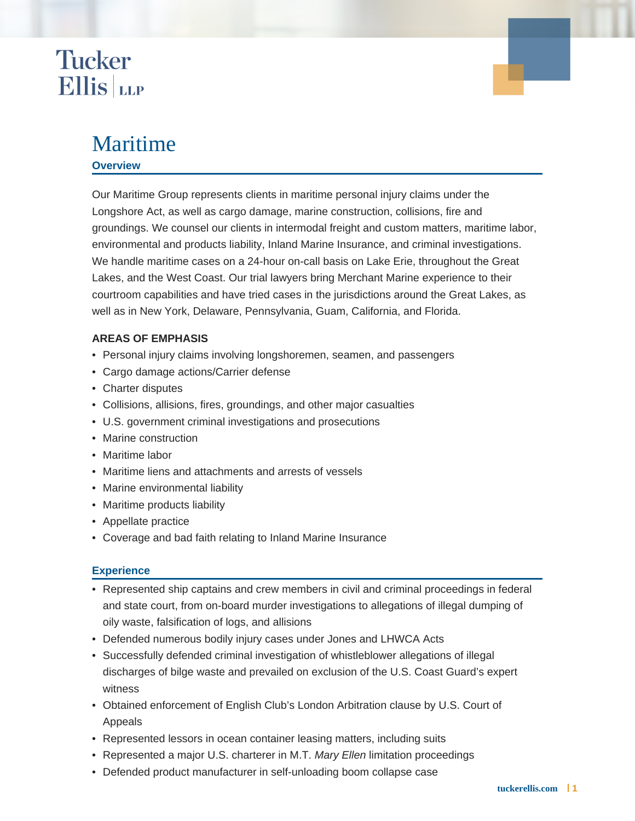## **Tucker Ellis** LLP

### Maritime

#### **Overview**

Our Maritime Group represents clients in maritime personal injury claims under the Longshore Act, as well as cargo damage, marine construction, collisions, fire and groundings. We counsel our clients in intermodal freight and custom matters, maritime labor, environmental and products liability, Inland Marine Insurance, and criminal investigations. We handle maritime cases on a 24-hour on-call basis on Lake Erie, throughout the Great Lakes, and the West Coast. Our trial lawyers bring Merchant Marine experience to their courtroom capabilities and have tried cases in the jurisdictions around the Great Lakes, as well as in New York, Delaware, Pennsylvania, Guam, California, and Florida.

#### **AREAS OF EMPHASIS**

- Personal injury claims involving longshoremen, seamen, and passengers
- Cargo damage actions/Carrier defense
- Charter disputes
- Collisions, allisions, fires, groundings, and other major casualties
- U.S. government criminal investigations and prosecutions
- Marine construction
- Maritime labor
- Maritime liens and attachments and arrests of vessels
- Marine environmental liability
- Maritime products liability
- Appellate practice
- Coverage and bad faith relating to Inland Marine Insurance

#### **Experience**

- Represented ship captains and crew members in civil and criminal proceedings in federal and state court, from on-board murder investigations to allegations of illegal dumping of oily waste, falsification of logs, and allisions
- Defended numerous bodily injury cases under Jones and LHWCA Acts
- Successfully defended criminal investigation of whistleblower allegations of illegal discharges of bilge waste and prevailed on exclusion of the U.S. Coast Guard's expert witness
- Obtained enforcement of English Club's London Arbitration clause by U.S. Court of Appeals
- Represented lessors in ocean container leasing matters, including suits
- Represented a major U.S. charterer in M.T. Mary Ellen limitation proceedings
- Defended product manufacturer in self-unloading boom collapse case